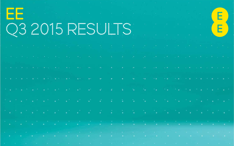| <b>TEST</b> |  |  |  |  |  | - 1980년 - 1980년 - 1980년 - 1980년 - 1980년 - 1980년 - 1980년 - 1980년 - 1980년 - 1980년 - 1980년 - 1980년 - 1980년 - 1980<br>i a cara na matangan ang pangangang pang                                                                                                                                                                                        |  |  |                                                                                 |  |  |  |
|-------------|--|--|--|--|--|---------------------------------------------------------------------------------------------------------------------------------------------------------------------------------------------------------------------------------------------------------------------------------------------------------------------------------------------------|--|--|---------------------------------------------------------------------------------|--|--|--|
|             |  |  |  |  |  | <b>COOLSENS IN THE REAL</b>                                                                                                                                                                                                                                                                                                                       |  |  |                                                                                 |  |  |  |
|             |  |  |  |  |  | 그는 저 그 아이들 저 그 여기는 여름을 거리는 어린 돈을 보는 것은 그리고 말했다. 그리고 말해 그 것이 그렇게 그 저 그 아이들 저 말을 하고 있다.                                                                                                                                                                                                                                                             |  |  |                                                                                 |  |  |  |
|             |  |  |  |  |  | ,我们也不能会有一个人的人,我们也不能会有一个人的人,我们也不能会有一个人的人,我们也不能会不能会不能会不能会不能会不能会不能会不能会不能会不能会不能会不能会不                                                                                                                                                                                                                                                                  |  |  |                                                                                 |  |  |  |
|             |  |  |  |  |  | in a continue of the continue of the continues of the continues of the continues of the control of the continues                                                                                                                                                                                                                                  |  |  |                                                                                 |  |  |  |
|             |  |  |  |  |  |                                                                                                                                                                                                                                                                                                                                                   |  |  |                                                                                 |  |  |  |
|             |  |  |  |  |  | 이 그는 어떻게 하나 아이가 없어. 그는 이 사람이 나는 그 없이 나왔다. 그는 아이들이 아주 아이들이 아주 아주 아주 아이들이 있다.                                                                                                                                                                                                                                                                       |  |  |                                                                                 |  |  |  |
|             |  |  |  |  |  | 1월 2일 1월 2일 1일 2월 2일 1일 2월 2일 1일 2월 2일 1일 2월 2일 1일 2월 2일 1일 2월 2일 1일 2월 2일 1일 2월 2일 1일 2월 2일 1일 2월 2                                                                                                                                                                                                                                              |  |  |                                                                                 |  |  |  |
|             |  |  |  |  |  | a shekara ta 1970 a wakati wa 1970 a 1981 a 1982 a 1982 a 1982 a 1982 a 1982 a 1982 a 1982 a 1982 a 1982 a 198                                                                                                                                                                                                                                    |  |  |                                                                                 |  |  |  |
|             |  |  |  |  |  | the control of the control of the control of the control of the control of the control of the control of the control of the control of the control of the control of the control of the control of the control of the control<br>1. 《第二》:"我们的人都是一个第二,你都是一个第二,你就是我们的人,我还是可能是你的事情,你也有什么?""我们,你也不会是你们的人,我们的人都是你们的人,我们                                |  |  | the contract of the contract of the contract of the contract of the contract of |  |  |  |
|             |  |  |  |  |  | and an annual statement of the control of the control of the control of the control of the control of the control of the control of the control of the control of the control of the control of the control of the control of<br>t and the second second second proposed to the second control of the second control of the second control of the |  |  |                                                                                 |  |  |  |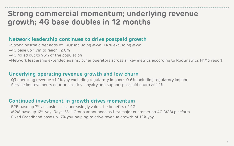## **Strong commercial momentum; underlying revenue growth; 4G base doubles in 12 months**

## **Network leadership continues to drive postpaid growth**

- –Strong postpaid net adds of 190k including M2M, 147k excluding M2M
- –4G base up 1.7m to reach 12.6m
- –4G rolled out to 93% of the population
- –Network leadership extended against other operators across all key metrics according to Rootmetrics H1/15 report

## **Underlying operating revenue growth and low churn**

–Q3 operating revenue +1.2% yoy excluding regulatory impact; -0.6% including regulatory impact –Service improvements continue to drive loyalty and support postpaid churn at 1.1%

#### **Continued investment in growth drives momentum**

–B2B base up 7% as businesses increasingly value the benefits of 4G –M2M base up 12% yoy; Royal Mail Group announced as first major customer on 4G M2M platform –Fixed Broadband base up 17% yoy, helping to drive revenue growth of 12% yoy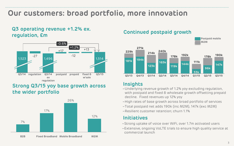## **Our customers: broad portfolio, more innovation**

## **Q3 operating revenue +1.2% ex. regulation, £m Continued postpaid growth**



## **Strong Q3/15 yoy base growth across the wider portfolio**





#### **Insights**

- –Underlying revenue growth of 1.2% yoy excluding regulation, with postpaid and fixed & wholesale growth offsetting prepaid decline. Fixed revenues up 12% yoy
- –High rates of base growth across broad portfolio of services
- –Total postpaid net adds 190k (inc M2M), 147k (exc M2M)
- –Resilient customer retention; churn 1.1%

## **Initiatives**

- –Strong uptake of voice over WiFi, over 1.7m activated users
- –Extensive, ongoing VoLTE trials to ensure high quality service at commercial launch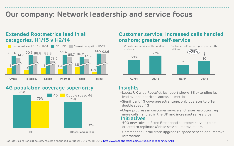## **Our company: Network leadership and service focus**

### **Extended Rootmetrics lead in all categories, H1/15 v H2/14**



## **4G population coverage superiority Insights**



## **Customer service; increased calls handled onshore; greater self-service**



- 4G Double speed 4G –Latest UK wide RootMetrics report shows EE extending its lead over competitors across all metrics
	- –Significant 4G coverage advantage; only operator to offer double speed 4G
	- –Major progress in customer service and issue resolution; eg more calls handled in the UK and increased self-service **Initiatives**
	- –500 new roles in Fixed Broadband customer service to be created to replicate Mobile service improvements
	- –Commenced Retail store upgrade to speed service and improve interaction